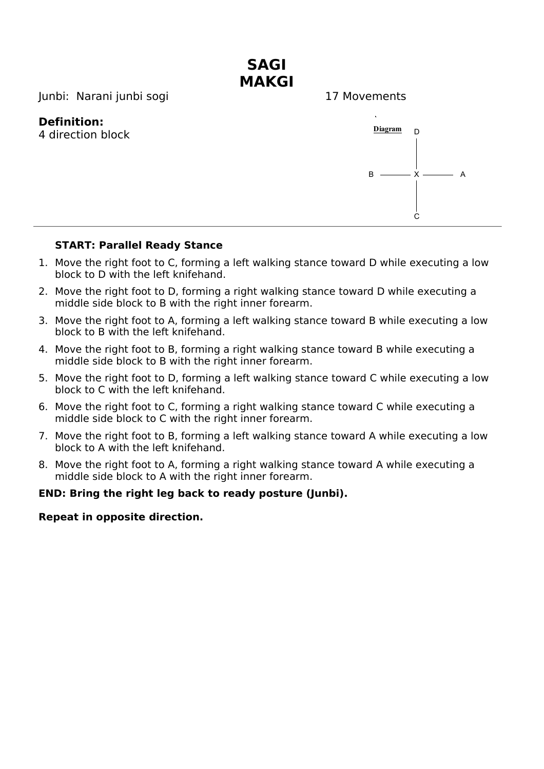

## **START: Parallel Ready Stance**

- 1. Move the right foot to C, forming a left walking stance toward D while executing a low block to D with the left knifehand.
- 2. Move the right foot to D, forming a right walking stance toward D while executing a middle side block to B with the right inner forearm.
- 3. Move the right foot to A, forming a left walking stance toward B while executing a low block to B with the left knifehand.
- 4. Move the right foot to B, forming a right walking stance toward B while executing a middle side block to B with the right inner forearm.
- 5. Move the right foot to D, forming a left walking stance toward C while executing a low block to C with the left knifehand.
- 6. Move the right foot to C, forming a right walking stance toward C while executing a middle side block to C with the right inner forearm.
- 7. Move the right foot to B, forming a left walking stance toward A while executing a low block to A with the left knifehand.
- 8. Move the right foot to A, forming a right walking stance toward A while executing a middle side block to A with the right inner forearm.

### **END: Bring the right leg back to ready posture (Junbi).**

### **Repeat in opposite direction.**